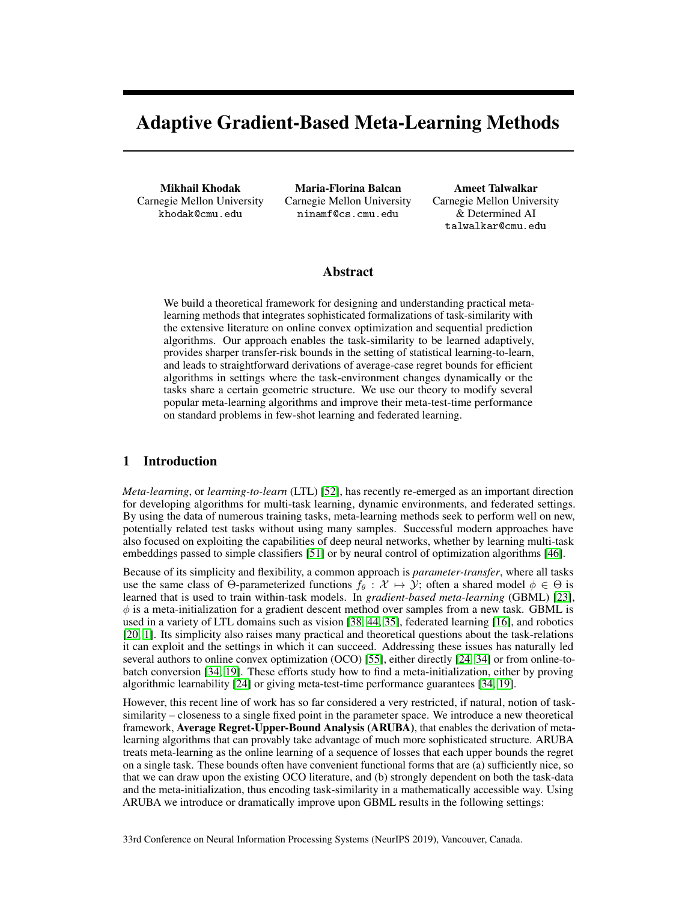# Adaptive Gradient-Based Meta-Learning Methods

Mikhail Khodak Carnegie Mellon University khodak@cmu.edu

Maria-Florina Balcan Carnegie Mellon University ninamf@cs.cmu.edu

Ameet Talwalkar Carnegie Mellon University & Determined AI talwalkar@cmu.edu

## Abstract

We build a theoretical framework for designing and understanding practical metalearning methods that integrates sophisticated formalizations of task-similarity with the extensive literature on online convex optimization and sequential prediction algorithms. Our approach enables the task-similarity to be learned adaptively, provides sharper transfer-risk bounds in the setting of statistical learning-to-learn, and leads to straightforward derivations of average-case regret bounds for efficient algorithms in settings where the task-environment changes dynamically or the tasks share a certain geometric structure. We use our theory to modify several popular meta-learning algorithms and improve their meta-test-time performance on standard problems in few-shot learning and federated learning.

# 1 Introduction

*Meta-learning*, or *learning-to-learn* (LTL) [52], has recently re-emerged as an important direction for developing algorithms for multi-task learning, dynamic environments, and federated settings. By using the data of numerous training tasks, meta-learning methods seek to perform well on new, potentially related test tasks without using many samples. Successful modern approaches have also focused on exploiting the capabilities of deep neural networks, whether by learning multi-task embeddings passed to simple classifiers [51] or by neural control of optimization algorithms [46].

Because of its simplicity and flexibility, a common approach is *parameter-transfer*, where all tasks use the same class of  $\Theta$ -parameterized functions  $f_{\theta}: \mathcal{X} \mapsto \mathcal{Y}$ ; often a shared model  $\phi \in \Theta$  is learned that is used to train within-task models. In *gradient-based meta-learning* (GBML) [23],  $\phi$  is a meta-initialization for a gradient descent method over samples from a new task. GBML is used in a variety of LTL domains such as vision [38, 44, 35], federated learning [16], and robotics [20, 1]. Its simplicity also raises many practical and theoretical questions about the task-relations it can exploit and the settings in which it can succeed. Addressing these issues has naturally led several authors to online convex optimization (OCO) [55], either directly [24, 34] or from online-tobatch conversion [34, 19]. These efforts study how to find a meta-initialization, either by proving algorithmic learnability [24] or giving meta-test-time performance guarantees [34, 19].

However, this recent line of work has so far considered a very restricted, if natural, notion of tasksimilarity – closeness to a single fixed point in the parameter space. We introduce a new theoretical framework, Average Regret-Upper-Bound Analysis (ARUBA), that enables the derivation of metalearning algorithms that can provably take advantage of much more sophisticated structure. ARUBA treats meta-learning as the online learning of a sequence of losses that each upper bounds the regret on a single task. These bounds often have convenient functional forms that are (a) sufficiently nice, so that we can draw upon the existing OCO literature, and (b) strongly dependent on both the task-data and the meta-initialization, thus encoding task-similarity in a mathematically accessible way. Using ARUBA we introduce or dramatically improve upon GBML results in the following settings: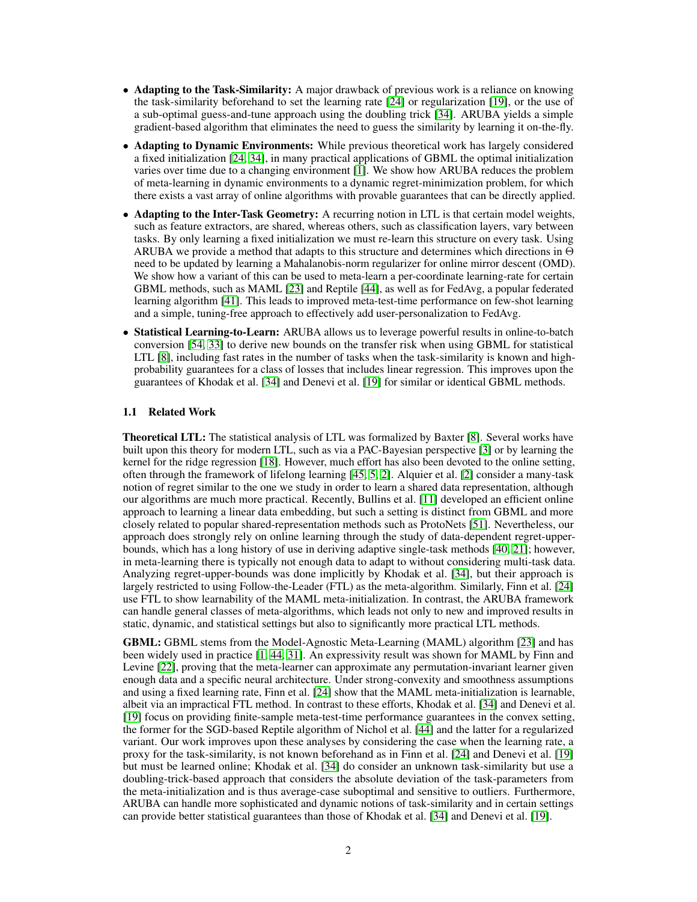- **Adapting to the Task-Similarity:** A major drawback of previous work is a reliance on knowing the task-similarity beforehand to set the learning rate [24] or regularization [19], or the use of a sub-optimal guess-and-tune approach using the doubling trick [34]. ARUBA yields a simple gradient-based algorithm that eliminates the need to guess the similarity by learning it on-the-fly.
- Adapting to Dynamic Environments: While previous theoretical work has largely considered a fixed initialization [24, 34], in many practical applications of GBML the optimal initialization varies over time due to a changing environment [1]. We show how ARUBA reduces the problem of meta-learning in dynamic environments to a dynamic regret-minimization problem, for which there exists a vast array of online algorithms with provable guarantees that can be directly applied.
- Adapting to the Inter-Task Geometry: A recurring notion in LTL is that certain model weights, such as feature extractors, are shared, whereas others, such as classification layers, vary between tasks. By only learning a fixed initialization we must re-learn this structure on every task. Using ARUBA we provide a method that adapts to this structure and determines which directions in  $\Theta$ need to be updated by learning a Mahalanobis-norm regularizer for online mirror descent (OMD). We show how a variant of this can be used to meta-learn a per-coordinate learning-rate for certain GBML methods, such as MAML [23] and Reptile [44], as well as for FedAvg, a popular federated learning algorithm [41]. This leads to improved meta-test-time performance on few-shot learning and a simple, tuning-free approach to effectively add user-personalization to FedAvg.
- Statistical Learning-to-Learn: ARUBA allows us to leverage powerful results in online-to-batch conversion [54, 33] to derive new bounds on the transfer risk when using GBML for statistical LTL [8], including fast rates in the number of tasks when the task-similarity is known and highprobability guarantees for a class of losses that includes linear regression. This improves upon the guarantees of Khodak et al. [34] and Denevi et al. [19] for similar or identical GBML methods.

#### 1.1 Related Work

Theoretical LTL: The statistical analysis of LTL was formalized by Baxter [8]. Several works have built upon this theory for modern LTL, such as via a PAC-Bayesian perspective [3] or by learning the kernel for the ridge regression [18]. However, much effort has also been devoted to the online setting, often through the framework of lifelong learning [45, 5, 2]. Alquier et al. [2] consider a many-task notion of regret similar to the one we study in order to learn a shared data representation, although our algorithms are much more practical. Recently, Bullins et al. [11] developed an efficient online approach to learning a linear data embedding, but such a setting is distinct from GBML and more closely related to popular shared-representation methods such as ProtoNets [51]. Nevertheless, our approach does strongly rely on online learning through the study of data-dependent regret-upperbounds, which has a long history of use in deriving adaptive single-task methods [40, 21]; however, in meta-learning there is typically not enough data to adapt to without considering multi-task data. Analyzing regret-upper-bounds was done implicitly by Khodak et al. [34], but their approach is largely restricted to using Follow-the-Leader (FTL) as the meta-algorithm. Similarly, Finn et al. [24] use FTL to show learnability of the MAML meta-initialization. In contrast, the ARUBA framework can handle general classes of meta-algorithms, which leads not only to new and improved results in static, dynamic, and statistical settings but also to significantly more practical LTL methods.

GBML: GBML stems from the Model-Agnostic Meta-Learning (MAML) algorithm [23] and has been widely used in practice [1, 44, 31]. An expressivity result was shown for MAML by Finn and Levine [22], proving that the meta-learner can approximate any permutation-invariant learner given enough data and a specific neural architecture. Under strong-convexity and smoothness assumptions and using a fixed learning rate, Finn et al. [24] show that the MAML meta-initialization is learnable, albeit via an impractical FTL method. In contrast to these efforts, Khodak et al. [34] and Denevi et al. [19] focus on providing finite-sample meta-test-time performance guarantees in the convex setting, the former for the SGD-based Reptile algorithm of Nichol et al. [44] and the latter for a regularized variant. Our work improves upon these analyses by considering the case when the learning rate, a proxy for the task-similarity, is not known beforehand as in Finn et al. [24] and Denevi et al. [19] but must be learned online; Khodak et al. [34] do consider an unknown task-similarity but use a doubling-trick-based approach that considers the absolute deviation of the task-parameters from the meta-initialization and is thus average-case suboptimal and sensitive to outliers. Furthermore, ARUBA can handle more sophisticated and dynamic notions of task-similarity and in certain settings can provide better statistical guarantees than those of Khodak et al. [34] and Denevi et al. [19].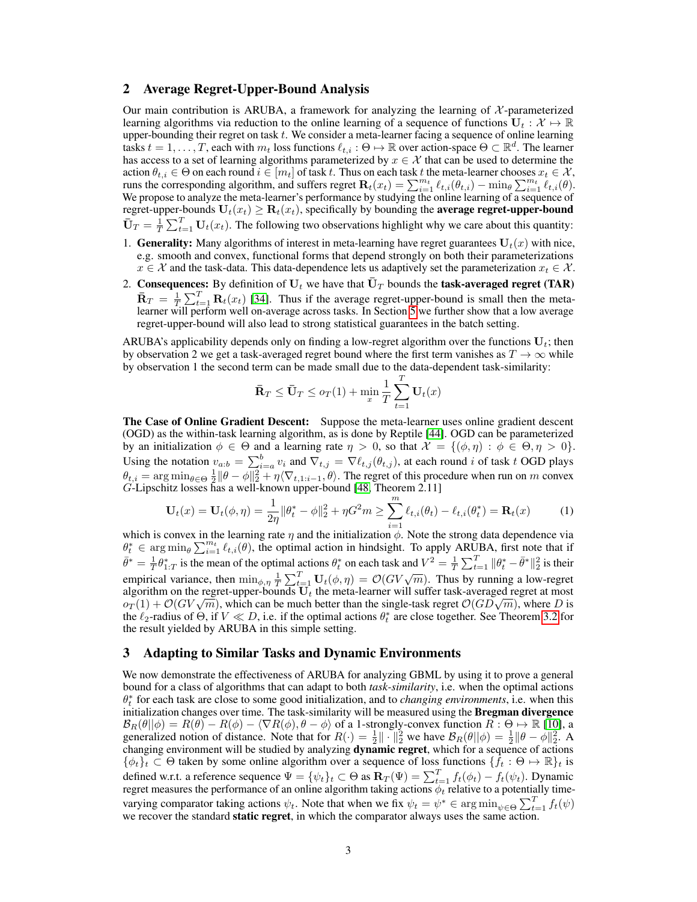#### 2 Average Regret-Upper-Bound Analysis

Our main contribution is ARUBA, a framework for analyzing the learning of  $\mathcal{X}$ -parameterized learning algorithms via reduction to the online learning of a sequence of functions  $U_t : \mathcal{X} \mapsto \mathbb{R}$ upper-bounding their regret on task  $t$ . We consider a meta-learner facing a sequence of online learning tasks  $t = 1, \ldots, T$ , each with  $m_t$  loss functions  $\ell_{t,i} : \Theta \mapsto \mathbb{R}$  over action-space  $\Theta \subset \mathbb{R}^d$ . The learner has access to a set of learning algorithms parameterized by  $x \in \mathcal{X}$  that can be used to determine the action  $\theta_{t,i}\in\Theta$  on each round  $i\in[m_t]$  of task  $t.$  Thus on each task  $t$  the meta-learner chooses  $x_t\in\mathcal{X},$ runs the corresponding algorithm, and suffers regret  $\mathbf{R}_t(x_t) = \sum_{i=1}^{m_t} \ell_{t,i}(\theta_{t,i}) - \min_{\theta} \sum_{i=1}^{m_t} \ell_{t,i}(\theta).$ We propose to analyze the meta-learner's performance by studying the online learning of a sequence of regret-upper-bounds  $U_t(x_t) \ge \mathbf{R}_t(x_t)$ , specifically by bounding the **average regret-upper-bound**  $\bar{\mathbf{U}}_T = \frac{1}{T} \sum_{t=1}^T \mathbf{U}_t(x_t)$ . The following two observations highlight why we care about this quantity:

- 1. Generality: Many algorithms of interest in meta-learning have regret guarantees  $U_t(x)$  with nice, e.g. smooth and convex, functional forms that depend strongly on both their parameterizations  $x \in \mathcal{X}$  and the task-data. This data-dependence lets us adaptively set the parameterization  $x_t \in \mathcal{X}$ .
- 2. Consequences: By definition of  $U_t$  we have that  $\overline{U}_T$  bounds the task-averaged regret (TAR)  $\bar{\mathbf{R}}_T = \frac{1}{T} \sum_{t=1}^T \mathbf{R}_t(x_t)$  [34]. Thus if the average regret-upper-bound is small then the metalearner will perform well on-average across tasks. In Section 5 we further show that a low average regret-upper-bound will also lead to strong statistical guarantees in the batch setting.

ARUBA's applicability depends only on finding a low-regret algorithm over the functions  $U_t$ ; then by observation 2 we get a task-averaged regret bound where the first term vanishes as  $T \to \infty$  while by observation 1 the second term can be made small due to the data-dependent task-similarity:

$$
\bar{\mathbf{R}}_T \leq \bar{\mathbf{U}}_T \leq o_T(1) + \min_x \frac{1}{T} \sum_{t=1}^T \mathbf{U}_t(x)
$$

The Case of Online Gradient Descent: Suppose the meta-learner uses online gradient descent (OGD) as the within-task learning algorithm, as is done by Reptile [44]. OGD can be parameterized by an initialization  $\phi \in \Theta$  and a learning rate  $\eta > 0$ , so that  $\mathcal{X} = \{(\phi, \eta) : \phi \in \Theta, \eta > 0\}$ . Using the notation  $v_{a:b} = \sum_{i=a}^{b} v_i$  and  $\nabla_{t,j} = \nabla \ell_{t,j} (\theta_{t,j})$ , at each round i of task t OGD plays  $\theta_{t,i} = \arg \min_{\theta \in \Theta} \frac{1}{2} ||\theta - \phi||_2^2 + \eta \langle \nabla_{t,1:i-1}, \theta \rangle$ . The regret of this procedure when run on m convex G-Lipschitz losses has a well-known upper-bound [48, Theorem 2.11]

$$
\mathbf{U}_{t}(x) = \mathbf{U}_{t}(\phi, \eta) = \frac{1}{2\eta} \|\theta_{t}^{*} - \phi\|_{2}^{2} + \eta G^{2} m \ge \sum_{i=1}^{m} \ell_{t,i}(\theta_{t}) - \ell_{t,i}(\theta_{t}^{*}) = \mathbf{R}_{t}(x)
$$
(1)

which is convex in the learning rate  $\eta$  and the initialization  $\phi$ . Note the strong data dependence via  $\theta_t^* \in \arg\min_{\theta} \sum_{i=1}^{m_t} \ell_{t,i}(\theta)$ , the optimal action in hindsight. To apply ARUBA, first note that if  $\bar{\theta}^* = \frac{1}{T} \theta_{1:T}^*$  is the mean of the optimal actions  $\theta_t^*$  on each task and  $V^2 = \frac{1}{T} \sum_{t=1}^T ||\theta_t^* - \bar{\theta}^*||_2^2$  is their empirical variance, then  $\min_{\phi,\eta} \frac{1}{T} \sum_{t=1}^T \mathbf{U}_t(\phi,\eta) = \mathcal{O}(GV\sqrt{m})$ . Thus by running a low-regret algorithm on the regret-upper-bounds  $U_t$  the meta-learner will suffer task-averaged regret at most  $o_T(1) + \mathcal{O}(GV\sqrt{m})$ , which can be much better than the single-task regret  $\mathcal{O}(GD\sqrt{m})$ , where D is  $\varphi_T(1) + \mathcal{O}(GV\sqrt{m})$ , which can be much better than the single-task regret  $\mathcal{O}(GD\sqrt{m})$ , where D is the  $\ell_2$ -radius of  $\Theta$ , if  $V \ll D$ , i.e. if the optimal actions  $\theta_t^*$  are close together. See Theorem 3.2 for the result yielded by ARUBA in this simple setting.

#### 3 Adapting to Similar Tasks and Dynamic Environments

We now demonstrate the effectiveness of ARUBA for analyzing GBML by using it to prove a general bound for a class of algorithms that can adapt to both *task-similarity*, i.e. when the optimal actions  $\theta_t^*$  for each task are close to some good initialization, and to *changing environments*, i.e. when this initialization changes over time. The task-similarity will be measured using the **Bregman divergence**  $\mathcal{B}_R(\theta||\phi) = R(\theta) - R(\phi) - \langle \nabla R(\phi), \theta - \phi \rangle$  of a 1-strongly-convex function  $R : \Theta \mapsto \mathbb{R}$  [10], a generalized notion of distance. Note that for  $R(\cdot) = \frac{1}{2} || \cdot ||_2^2$  we have  $\mathcal{B}_R(\theta || \phi) = \frac{1}{2} || \theta - \phi ||_2^2$ . A changing environment will be studied by analyzing dynamic regret, which for a sequence of actions  $\{\phi_t\}_t \subset \Theta$  taken by some online algorithm over a sequence of loss functions  $\{f_t : \Theta \mapsto \mathbb{R}\}_t$  is defined w.r.t. a reference sequence  $\Psi = {\psi_t}_t \subset \Theta$  as  $\mathbf{R}_T(\Psi) = \sum_{t=1}^T f_t(\phi_t) - f_t(\psi_t)$ . Dynamic regret measures the performance of an online algorithm taking actions  $\phi_t$  relative to a potentially timevarying comparator taking actions  $\psi_t$ . Note that when we fix  $\psi_t = \psi^* \in \arg\min_{\psi \in \Theta} \sum_{t=1}^T f_t(\psi)$ we recover the standard **static regret**, in which the comparator always uses the same action.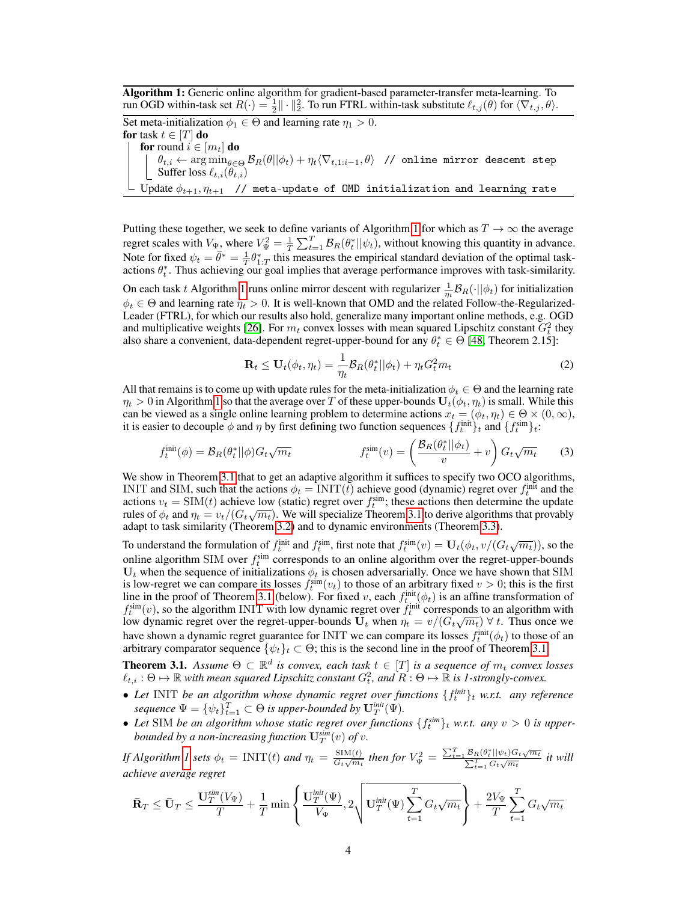Algorithm 1: Generic online algorithm for gradient-based parameter-transfer meta-learning. To run OGD within-task set  $R(\cdot) = \frac{1}{2} || \cdot ||_2^2$ . To run FTRL within-task substitute  $\ell_{t,j}(\theta)$  for  $\langle \nabla_{t,j}, \theta \rangle$ .

Set meta-initialization  $\phi_1 \in \Theta$  and learning rate  $\eta_1 > 0$ . for task  $t \in [T]$  do for round  $i \in [m_t]$  do  $\theta_{t,i} \leftarrow \arg\min_{\theta\in\Theta} \mathcal{B}_R(\theta||\phi_t) + \eta_t\langle \nabla_{t,1:i-1}, \theta\rangle$  // online mirror descent step Suffer loss  $\ell_{t,i}(\theta_{t,i})$ Update  $\phi_{t+1}, \eta_{t+1}$  // meta-update of OMD initialization and learning rate

Putting these together, we seek to define variants of Algorithm 1 for which as  $T \to \infty$  the average regret scales with  $V_{\Psi}$ , where  $V_{\Psi}^2 = \frac{1}{T} \sum_{t=1}^T \mathcal{B}_R(\theta_t^* || \psi_t)$ , without knowing this quantity in advance. Note for fixed  $\psi_t = \bar{\theta}^* = \frac{1}{T} \theta_{1:T}^*$  this measures the empirical standard deviation of the optimal taskactions  $\theta_t^*$ . Thus achieving our goal implies that average performance improves with task-similarity.

On each task t Algorithm 1 runs online mirror descent with regularizer  $\frac{1}{\eta_t} B_R(\cdot || \phi_t)$  for initialization  $\phi_t \in \Theta$  and learning rate  $\eta_t > 0$ . It is well-known that OMD and the related Follow-the-Regularized-Leader (FTRL), for which our results also hold, generalize many important online methods, e.g. OGD and multiplicative weights [26]. For  $m_t$  convex losses with mean squared Lipschitz constant  $G_t^2$  they also share a convenient, data-dependent regret-upper-bound for any  $\theta_t^* \in \Theta$  [48, Theorem 2.15]:

$$
\mathbf{R}_t \le \mathbf{U}_t(\phi_t, \eta_t) = \frac{1}{\eta_t} \mathcal{B}_R(\theta_t^* || \phi_t) + \eta_t G_t^2 m_t \tag{2}
$$

All that remains is to come up with update rules for the meta-initialization  $\phi_t \in \Theta$  and the learning rate  $\eta_t > 0$  in Algorithm 1 so that the average over T of these upper-bounds  $U_t(\phi_t, \eta_t)$  is small. While this can be viewed as a single online learning problem to determine actions  $x_t = (\phi_t, \eta_t) \in \Theta \times (0, \infty)$ , it is easier to decouple  $\phi$  and  $\eta$  by first defining two function sequences  $\{f_t^{\text{init}}\}_t$  and  $\{f_t^{\text{sim}}\}_t$ :

$$
f_t^{\text{init}}(\phi) = \mathcal{B}_R(\theta_t^* || \phi) G_t \sqrt{m_t} \qquad f_t^{\text{sim}}(v) = \left(\frac{\mathcal{B}_R(\theta_t^* || \phi_t)}{v} + v\right) G_t \sqrt{m_t} \qquad (3)
$$

We show in Theorem 3.1 that to get an adaptive algorithm it suffices to specify two OCO algorithms, INIT and SIM, such that the actions  $\phi_t = \text{INIT}(t)$  achieve good (dynamic) regret over  $f_t^{\text{init}}$  and the actions  $v_t = \text{SIM}(t)$  achieve low (static) regret over  $f_t^{\text{sim}}$ ; these actions then determine the update actions  $v_t = \sin(t)$  achieve low (static) regret over  $f_t$ ; these actions then determine the update<br>rules of  $\phi_t$  and  $\eta_t = v_t/(G_t\sqrt{m_t})$ . We will specialize Theorem 3.1 to derive algorithms that provably adapt to task similarity (Theorem 3.2) and to dynamic environments (Theorem 3.3).

To understand the formulation of  $f_t^{\text{init}}$  and  $f_t^{\text{sim}}$ , first note that  $f_t^{\text{sim}}(v) = \mathbf{U}_t(\phi_t, v/(G_t\sqrt{m_t})),$  so the online algorithm SIM over  $f_t^{\text{sim}}$  corresponds to an online algorithm over the regret-upper-bounds  $U_t$  when the sequence of initializations  $\phi_t$  is chosen adversarially. Once we have shown that SIM is low-regret we can compare its losses  $f_t^{\text{sim}}(v_t)$  to those of an arbitrary fixed  $v > 0$ ; this is the first line in the proof of Theorem 3.1 (below). For fixed v, each  $f_t^{\text{init}}(\phi_t)$  is an affine transformation of  $f_t^{\text{sim}}(v)$ , so the algorithm INIT with low dynamic regret over  $f_t^{\text{init}}$  corresponds to an algorithm with  $\eta_t$  (*v*), so the algorithm INTT with low dynamic regret over  $\eta_t$  corresponds to an algorithm with low dynamic regret over the regret-upper-bounds  $U_t$  when  $\eta_t = v/(G_t\sqrt{m_t}) \forall t$ . Thus once we have shown a dynamic regret guarantee for INIT we can compare its losses  $f_t^{\text{init}}(\phi_t)$  to those of an arbitrary comparator sequence  $\{\psi_t\}_t \subset \Theta$ ; this is the second line in the proof of Theorem 3.1.

**Theorem 3.1.** Assume  $\Theta \subset \mathbb{R}^d$  is convex, each task  $t \in [T]$  is a sequence of  $m_t$  convex losses  $\ell_{t,i} : \Theta \mapsto \mathbb{R}$  with mean squared Lipschitz constant  $G_t^2$ , and  $R : \Theta \mapsto \mathbb{R}$  is 1-strongly-convex.

- Let INIT be an algorithm whose dynamic regret over functions  $\{f_t^{\text{init}}\}_t$  w.r.t. any reference  $sequence \ \Psi = \{ \psi_t \}_{t=1}^T \subset \Theta \ \textit{is upper-bounded} \ by \ \mathbf{U}_T^{\textit{init}}(\Psi).$
- Let SIM be an algorithm whose static regret over functions  $\{f_t^{\text{sim}}\}_t$  w.r.t. any  $v > 0$  is upper*bounded by a non-increasing function*  $\mathbf{U}_T^{sim}(v)$  *of v*.

*If Algorithm 1 sets*  $\phi_t = \text{INIT}(t)$  *and*  $\eta_t = \frac{\text{SIM}(t)}{G_t \sqrt{m_t}}$  $\frac{\text{SIM}(t)}{G_t\sqrt{m_t}}$  then for  $V^2_{\Psi} = \frac{\sum_{t=1}^{T} \mathcal{B}_R(\theta_t^* || \psi_t) G_t \sqrt{m_t}}{\sum_{t=1}^{T} G_t \sqrt{m_t}}$ P  $\frac{d_R(\theta^*_t || \psi_t) G_t \sqrt{m_t}}{d_t}$  it will *achieve average regret*

$$
\bar{\mathbf{R}}_T \leq \bar{\mathbf{U}}_T \leq \frac{\mathbf{U}_T^{\text{sim}}(V_{\Psi})}{T} + \frac{1}{T} \min \left\{ \frac{\mathbf{U}_T^{\text{init}}(\Psi)}{V_{\Psi}}, 2 \sqrt{\mathbf{U}_T^{\text{init}}(\Psi) \sum_{t=1}^T G_t \sqrt{m_t}} \right\} + \frac{2 V_{\Psi}}{T} \sum_{t=1}^T G_t \sqrt{m_t}
$$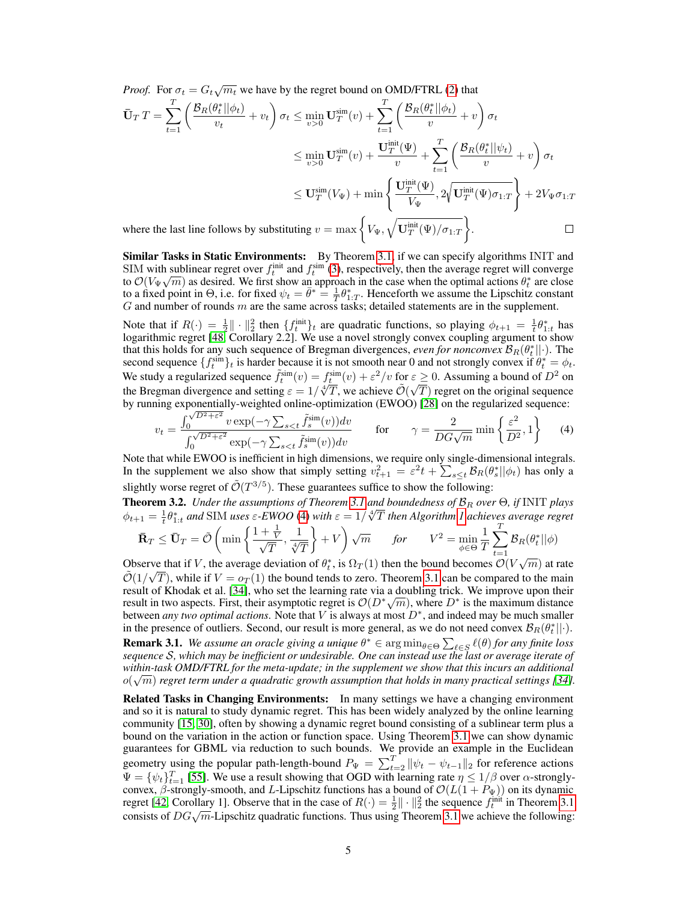*Proof.* For  $\sigma_t = G_t \sqrt{m_t}$  we have by the regret bound on OMD/FTRL (2) that

$$
\begin{split} \bar{\mathbf{U}}_{T}T &= \sum_{t=1}^{T} \left( \frac{\mathcal{B}_{R}(\theta_{t}^{*}||\phi_{t})}{v_{t}} + v_{t} \right) \sigma_{t} \leq \min_{v>0} \mathbf{U}_{T}^{\text{sim}}(v) + \sum_{t=1}^{T} \left( \frac{\mathcal{B}_{R}(\theta_{t}^{*}||\phi_{t})}{v} + v \right) \sigma_{t} \\ &\leq \min_{v>0} \mathbf{U}_{T}^{\text{sim}}(v) + \frac{\mathbf{U}_{T}^{\text{init}}(\Psi)}{v} + \sum_{t=1}^{T} \left( \frac{\mathcal{B}_{R}(\theta_{t}^{*}||\psi_{t})}{v} + v \right) \sigma_{t} \\ &\leq \mathbf{U}_{T}^{\text{sim}}(V_{\Psi}) + \min \left\{ \frac{\mathbf{U}_{T}^{\text{init}}(\Psi)}{V_{\Psi}}, 2\sqrt{\mathbf{U}_{T}^{\text{init}}(\Psi)} \sigma_{1:T} \right\} + 2V_{\Psi} \sigma_{1:T} \\ \text{where the last line follows by substituting } v = \max \left\{ V_{\Psi}, \sqrt{\mathbf{U}_{T}^{\text{init}}(\Psi)/\sigma_{1:T}} \right\}. \end{split}
$$

Similar Tasks in Static Environments: By Theorem 3.1, if we can specify algorithms INIT and SIM with sublinear regret over  $f_t^{\text{init}}$  and  $f_t^{\text{sim}}$  (3), respectively, then the average regret will converge to  $\mathcal{O}(V_{\Psi} \sqrt{m})$  as desired. We first show an approach in the case when the optimal actions  $\theta_t^*$  are close to a fixed point in  $\Theta$ , i.e. for fixed  $\psi_t = \bar{\theta}^* = \frac{1}{T} \theta_{1:T}^*$ . Henceforth we assume the Lipschitz constant  $G$  and number of rounds  $m$  are the same across tasks; detailed statements are in the supplement.

Note that if  $R(\cdot) = \frac{1}{2} || \cdot ||_2^2$  then  $\{f_t^{\text{init}}\}_t$  are quadratic functions, so playing  $\phi_{t+1} = \frac{1}{t} \theta_{1:t}^*$  has logarithmic regret [48, Corollary 2.2]. We use a novel strongly convex coupling argument to show that this holds for any such sequence of Bregman divergences, *even for nonconvex*  $B_R(\theta_t^*||\cdot)$ . The second sequence  $\{f_t^{\text{sim}}\}_t$  is harder because it is not smooth near 0 and not strongly convex if  $\theta_t^* = \phi_t$ . We study a regularized sequence  $\tilde{f}_t^{\text{sim}}(v) = f_t^{\text{sim}}(v) + \varepsilon^2/v$  for  $\varepsilon \ge 0$ . Assuming a bound of  $D^2$  on we study a regularized sequence  $f_t$   $(v) = f_t$   $(v) + \varepsilon$  /v for  $\varepsilon$ <br>the Bregman divergence and setting  $\varepsilon = 1/\sqrt[4]{T}$ , we achieve  $\tilde{\mathcal{O}}(\sqrt{T})$  $T$ ) regret on the original sequence by running exponentially-weighted online-optimization (EWOO) [28] on the regularized sequence:<br>  $\int_0^{\sqrt{D^2+\varepsilon^2}} v \exp(-\gamma \sum_{e \le t} \tilde{f}_s^{\text{sim}}(v)) dv$  2  $\{\varepsilon^2\}$ 

$$
v_t = \frac{\int_0^{\sqrt{D^2 + \varepsilon^2}} v \exp(-\gamma \sum_{s < t} \tilde{f}_s^{\text{sim}}(v)) dv}{\int_0^{\sqrt{D^2 + \varepsilon^2}} \exp(-\gamma \sum_{s < t} \tilde{f}_s^{\text{sim}}(v)) dv} \qquad \text{for} \qquad \gamma = \frac{2}{DG\sqrt{m}} \min\left\{\frac{\varepsilon^2}{D^2}, 1\right\} \tag{4}
$$

Note that while EWOO is inefficient in high dimensions, we require only single-dimensional integrals. In the supplement we also show that simply setting  $v_{t+1}^2 = \varepsilon^2 t + \sum_{s \leq t} \mathcal{B}_R(\theta_s^* || \phi_t)$  has only a slightly worse regret of  $\tilde{\mathcal{O}}(T^{3/5})$ . These guarantees suffice to show the following:

**Theorem 3.2.** *Under the assumptions of Theorem* 3.1 *and boundedness of*  $\mathcal{B}_R$  *over*  $\Theta$ *, if* INIT *plays*  $\phi_{t+1} = \frac{1}{t} \theta_{1:t}^*$  and SIM uses  $\varepsilon$ -EWOO (4) with  $\varepsilon = 1/\sqrt[4]{T}$  then Algorithm 1 achieves average regret

$$
\bar{\mathbf{R}}_T \leq \bar{\mathbf{U}}_T = \tilde{\mathcal{O}}\left(\min\left\{\frac{1+\frac{1}{V}}{\sqrt{T}},\frac{1}{\sqrt[4]{T}}\right\} + V\right)\sqrt{m} \quad \text{for} \quad V^2 = \min_{\phi \in \Theta} \frac{1}{T} \sum_{t=1}^T \mathcal{B}_R(\theta_t^*||\phi)
$$

Observe that if V, the average deviation of  $\theta_t^*$ , is  $\Omega_T(1)$  then the bound becomes  $\mathcal{O}(V\sqrt{m})$  at rate  $\tilde{\mathcal{O}}(1/\sqrt{T})$ , while if  $V = o_T(1)$  the bound tends to zero. Theorem 3.1 can be compared to the main result of Khodak et al. [34], who set the learning rate via a doubling trick. We improve upon their result of Khodak et al. [54], who set the learning rate via a doubling trick. We improve upon their result in two aspects. First, their asymptotic regret is  $\mathcal{O}(D^*\sqrt{m})$ , where  $D^*$  is the maximum distance between *any two optimal actions*. Note that V is always at most  $D^*$ , and indeed may be much smaller in the presence of outliers. Second, our result is more general, as we do not need convex  $\mathcal{B}_R(\theta_t^*||\cdot)$ .

**Remark 3.1.** We assume an oracle giving a unique  $\theta^* \in \arg \min_{\theta \in \Theta} \sum_{\ell \in S} \ell(\theta)$  for any finite loss *sequence* S*, which may be inefficient or undesirable. One can instead use the last or average iterate of within-task OMD/FTRL for the meta-update; in the supplement we show that this incurs an additional* √  $o(\sqrt{m})$  regret term under a quadratic growth assumption that holds in many practical settings [34].

Related Tasks in Changing Environments: In many settings we have a changing environment and so it is natural to study dynamic regret. This has been widely analyzed by the online learning community [15, 30], often by showing a dynamic regret bound consisting of a sublinear term plus a bound on the variation in the action or function space. Using Theorem 3.1 we can show dynamic guarantees for GBML via reduction to such bounds. We provide an example in the Euclidean geometry using the popular path-length-bound  $P_{\Psi} = \sum_{t=2}^{T} ||\psi_t - \psi_{t-1}||_2$  for reference actions  $\Psi = {\psi_t}_{t=1}^T$  [55]. We use a result showing that OGD with learning rate  $\eta \leq 1/\beta$  over  $\alpha$ -stronglyconvex,  $\beta$ -strongly-smooth, and L-Lipschitz functions has a bound of  $\mathcal{O}(L(1 + P_{\Psi}))$  on its dynamic regret [42, Corollary 1]. Observe that in the case of  $R(\cdot) = \frac{1}{2} || \cdot ||_2^2$  the sequence  $f_t^{\text{init}}$  in Theorem 3.1 consists of  $DG\sqrt{m}$ -Lipschitz quadratic functions. Thus using Theorem 3.1 we achieve the following: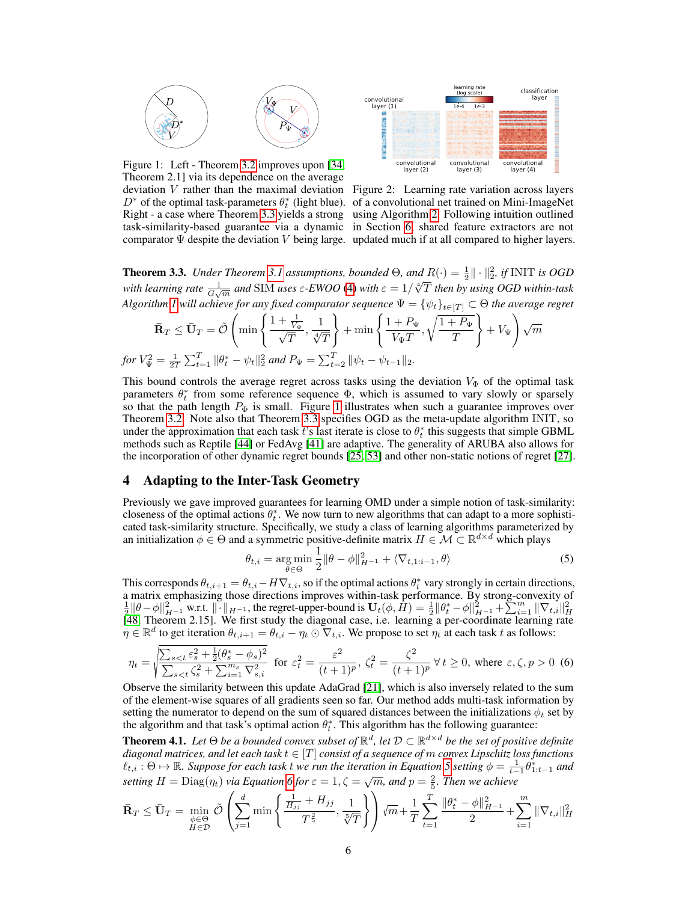

Figure 1: Left - Theorem 3.2 improves upon [34, Theorem 2.1] via its dependence on the average deviation  $V$  rather than the maximal deviation Figure 2: Learning rate variation across layers

*fo* 



 $D^*$  of the optimal task-parameters  $\theta_t^*$  (light blue). of a convolutional net trained on Mini-ImageNet Right - a case where Theorem 3.3 yields a strong using Algorithm 2. Following intuition outlined task-similarity-based guarantee via a dynamic in Section 6, shared feature extractors are not comparator  $\Psi$  despite the deviation V being large. updated much if at all compared to higher layers.

**Theorem 3.3.** *Under Theorem 3.1 assumptions, bounded*  $\Theta$ *, and*  $R(\cdot) = \frac{1}{2} \|\cdot\|_2^2$ *, if* INIT *is OGD* **Theorem 3.3.** Onder Theorem 3.1 assumptions, bounded  $\Theta$ , and  $I(\cdot) = \frac{1}{2}$  ||  $\cdot$  ||2,  $\theta$  INTT is OOD with earning rate  $\frac{1}{G\sqrt{m}}$  and SIM uses  $\varepsilon$ -EWOO (4) with  $\varepsilon = 1/\sqrt[4]{T}$  then by using OGD within-task  $A$ lgorithm  $I$  will achieve for any fixed comparator sequence  $\Psi=\{\psi_t\}_{t\in[T]}\subset\Theta$  the average regret

$$
\bar{\mathbf{R}}_T \leq \bar{\mathbf{U}}_T = \tilde{\mathcal{O}}\left(\min\left\{\frac{1+\frac{1}{V_{\Psi}}}{\sqrt{T}}, \frac{1}{\sqrt[4]{T}}\right\} + \min\left\{\frac{1+P_{\Psi}}{V_{\Psi}T}, \sqrt{\frac{1+P_{\Psi}}{T}}\right\} + V_{\Psi}\right)\sqrt{m}
$$
\n
$$
rV_{\Psi}^2 = \frac{1}{2T}\sum_{t=1}^T \|\theta_t^* - \psi_t\|_2^2 \text{ and } P_{\Psi} = \sum_{t=2}^T \|\psi_t - \psi_{t-1}\|_2.
$$

This bound controls the average regret across tasks using the deviation  $V_{\Phi}$  of the optimal task parameters  $\theta_t^*$  from some reference sequence  $\Phi$ , which is assumed to vary slowly or sparsely so that the path length  $P_{\Phi}$  is small. Figure 1 illustrates when such a guarantee improves over Theorem 3.2. Note also that Theorem 3.3 specifies OGD as the meta-update algorithm INIT, so under the approximation that each task t's last iterate is close to  $\theta_t^*$  this suggests that simple GBML methods such as Reptile [44] or FedAvg [41] are adaptive. The generality of ARUBA also allows for the incorporation of other dynamic regret bounds [25, 53] and other non-static notions of regret [27].

#### 4 Adapting to the Inter-Task Geometry

Previously we gave improved guarantees for learning OMD under a simple notion of task-similarity: closeness of the optimal actions  $\theta_t^*$ . We now turn to new algorithms that can adapt to a more sophisticated task-similarity structure. Specifically, we study a class of learning algorithms parameterized by an initialization  $\phi \in \Theta$  and a symmetric positive-definite matrix  $H \in \mathcal{M} \subset \mathbb{R}^{d \times d}$  which plays

$$
\theta_{t,i} = \underset{\theta \in \Theta}{\arg \min} \frac{1}{2} \|\theta - \phi\|_{H^{-1}}^2 + \langle \nabla_{t,1:i-1}, \theta \rangle \tag{5}
$$

This corresponds  $\theta_{t,i+1} = \theta_{t,i} - H\nabla_{t,i}$ , so if the optimal actions  $\theta_t^*$  vary strongly in certain directions, a matrix emphasizing those directions improves within-task performance. By strong-convexity of  $\frac{1}{2} \|\theta - \phi\|_{H^{-1}}^2$  w.r.t.  $\|\cdot\|_{H^{-1}}$ , the regret-upper-bound is  $\mathbf{U}_t(\phi, H) = \frac{1}{2} \|\theta_t^* - \phi\|_{H^{-1}}^2 + \sum_{i=1}^m \|\nabla$  $\eta \in \mathbb{R}^d$  to get iteration  $\theta_{t,i+1} = \theta_{t,i} - \eta_t \odot \nabla_{t,i}$ . We propose to set  $\eta_t$  at each task t as follows:

$$
\eta_t = \sqrt{\frac{\sum_{s < t} \varepsilon_s^2 + \frac{1}{2} (\theta_s^* - \phi_s)^2}{\sum_{s < t} \zeta_s^2 + \sum_{i=1}^{m_s} \nabla_{s,i}^2}} \quad \text{for } \varepsilon_t^2 = \frac{\varepsilon^2}{(t+1)^p}, \ \zeta_t^2 = \frac{\zeta^2}{(t+1)^p} \ \forall \ t \ge 0, \text{ where } \varepsilon, \zeta, p > 0 \tag{6}
$$

Observe the similarity between this update AdaGrad [21], which is also inversely related to the sum of the element-wise squares of all gradients seen so far. Our method adds multi-task information by setting the numerator to depend on the sum of squared distances between the initializations  $\phi_t$  set by the algorithm and that task's optimal action  $\theta_t^*$ . This algorithm has the following guarantee:

**Theorem 4.1.** Let  $\Theta$  be a bounded convex subset of  $\mathbb{R}^d$ , let  $\mathcal{D} \subset \mathbb{R}^{d \times d}$  be the set of positive definite *diagonal matrices, and let each task* t ∈ [T] *consist of a sequence of* m *convex Lipschitz loss functions*  $\ell_{t,i}$ :  $\Theta \mapsto \mathbb{R}$ . Suppose for each task t we run the iteration in Equation 5 setting  $\phi = \frac{1}{t-1} \dot{\theta}_{1:t-1}^*$  and *setting*  $H = \text{Diag}(\eta_t)$  *via Equation 6 for*  $\varepsilon = 1, \zeta = \sqrt{m}$ *, and*  $p = \frac{2}{5}$ *. Then we achieve* 

$$
\bar{\mathbf{R}}_T \leq \bar{\mathbf{U}}_T = \min_{\substack{\phi \in \Theta \\ H \in \mathcal{D}}} \tilde{\mathcal{O}}\left(\sum_{j=1}^d \min\left\{\frac{\frac{1}{H_{jj}} + H_{jj}}{T^{\frac{2}{5}}}, \frac{1}{\sqrt[5]{T}}\right\}\right) \sqrt{m} + \frac{1}{T} \sum_{t=1}^T \frac{\|\theta_t^* - \phi\|_{H^{-1}}^2}{2} + \sum_{i=1}^m \|\nabla_{t,i}\|_H^2
$$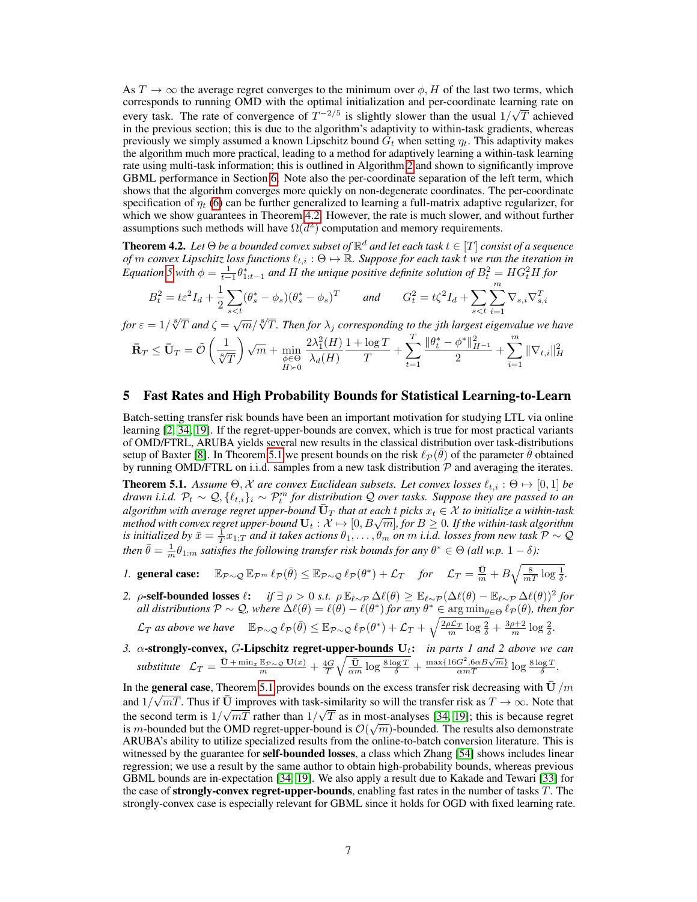As  $T \to \infty$  the average regret converges to the minimum over  $\phi$ , H of the last two terms, which corresponds to running OMD with the optimal initialization and per-coordinate learning rate on every task. The rate of convergence of  $T^{-2/5}$  is slightly slower than the usual  $1/\sqrt{T}$  achieved in the previous section; this is due to the algorithm's adaptivity to within-task gradients, whereas previously we simply assumed a known Lipschitz bound  $G_t$  when setting  $\eta_t$ . This adaptivity makes the algorithm much more practical, leading to a method for adaptively learning a within-task learning rate using multi-task information; this is outlined in Algorithm 2 and shown to significantly improve GBML performance in Section 6. Note also the per-coordinate separation of the left term, which shows that the algorithm converges more quickly on non-degenerate coordinates. The per-coordinate specification of  $\eta_t$  (6) can be further generalized to learning a full-matrix adaptive regularizer, for which we show guarantees in Theorem 4.2. However, the rate is much slower, and without further assumptions such methods will have  $\Omega(d^2)$  computation and memory requirements.

**Theorem 4.2.** Let  $\Theta$  be a bounded convex subset of  $\mathbb{R}^d$  and let each task  $t \in [T]$  consist of a sequence *of* m convex Lipschitz loss functions  $\ell_{t,i}$  :  $\Theta \mapsto \mathbb{R}$ . Suppose for each task t we run the iteration in *Equation* 5 with  $\phi = \frac{1}{t-1}\theta^*_{1:t-1}$  and H the unique positive definite solution of  $B_t^2 = HG_t^2H$  for

$$
B_t^2 = t\varepsilon^2 I_d + \frac{1}{2} \sum_{s < t} (\theta_s^* - \phi_s)(\theta_s^* - \phi_s)^T \qquad \text{and} \qquad G_t^2 = t\zeta^2 I_d + \sum_{s < t} \sum_{i=1}^m \nabla_{s,i} \nabla_{s,i}^T
$$

*for*  $\varepsilon = 1/\sqrt[8]{T}$  and  $\zeta = \sqrt{m}/\sqrt[8]{T}$ . Then for  $\lambda_j$  corresponding to the jth largest eigenvalue we have

$$
\bar{\mathbf{R}}_T \leq \bar{\mathbf{U}}_T = \tilde{\mathcal{O}}\left(\frac{1}{\sqrt[8]{T}}\right)\sqrt{m} + \min_{\substack{\phi \in \Theta \\ H \succ 0}} \frac{2\lambda_1^2(H)}{\lambda_d(H)}\frac{1 + \log T}{T} + \sum_{t=1}^T \frac{\|\theta_t^* - \phi^*\|_{H^{-1}}^2}{2} + \sum_{i=1}^m \|\nabla_{t,i}\|_H^2
$$

## 5 Fast Rates and High Probability Bounds for Statistical Learning-to-Learn

Batch-setting transfer risk bounds have been an important motivation for studying LTL via online learning [2, 34, 19]. If the regret-upper-bounds are convex, which is true for most practical variants of OMD/FTRL, ARUBA yields several new results in the classical distribution over task-distributions setup of Baxter [8]. In Theorem 5.1 we present bounds on the risk  $\ell_P(\bar{\theta})$  of the parameter  $\bar{\theta}$  obtained by running OMD/FTRL on i.i.d. samples from a new task distribution  $P$  and averaging the iterates.

**Theorem 5.1.** Assume  $\Theta$ , X are convex Euclidean subsets. Let convex losses  $\ell_{t,i} : \Theta \mapsto [0,1]$  be *drawn i.i.d.*  $\mathcal{P}_t \sim \mathcal{Q}, \{\ell_{t,i}\}_i \sim \mathcal{P}_t^m$  for distribution  $\mathcal Q$  over tasks. Suppose they are passed to an *algorithm with average regret upper-bound*  $\bar{U}_T$  *that at each t picks*  $x_t \in \mathcal{X}$  to initialize a within-task atgorithm with average regret upper-bound  $\mathbf{U}_T$  that at each  $t$  picks  $x_t \in \mathcal{X}$  to initialize a within-task<br>method with convex regret upper-bound  $\mathbf{U}_t : \mathcal{X} \mapsto [0, B\sqrt{m}],$  for  $B \geq 0.$  If the within-task algor is initialized by  $\bar{x}=\frac{1}{T}x_{1:T}$  and it takes actions  $\theta_1,\ldots,\theta_m$  on  $m$  i.i.d. losses from new task  $\mathcal{P}\sim\mathcal{Q}$ *then*  $\bar{\theta} = \frac{1}{m} \theta_{1:m}$  *satisfies the following transfer risk bounds for any*  $\theta^* \in \Theta$  *(all w.p.*  $1 - \delta$ ):

- *1.* general case:  $\mathbb{E}_{\mathcal{P}\sim\mathcal{Q}}\mathbb{E}_{\mathcal{P}^m} \ell_{\mathcal{P}}(\bar{\theta}) \leq \mathbb{E}_{\mathcal{P}\sim\mathcal{Q}} \ell_{\mathcal{P}}(\theta^*) + \mathcal{L}_T$  for  $\mathcal{L}_T = \frac{\bar{U}}{m} + B\sqrt{\frac{8}{mT}\log\frac{1}{\delta}}$ .
- 2.  $\rho$ -self-bounded losses  $\ell:$  *if*  $\exists \rho > 0$  *s.t.*  $\rho \mathbb{E}_{\ell \sim \mathcal{P}} \Delta \ell(\theta) \geq \mathbb{E}_{\ell \sim \mathcal{P}} (\Delta \ell(\theta) \mathbb{E}_{\ell \sim \mathcal{P}} \Delta \ell(\theta))^2$  for  $A$ *ll distributions*  $\mathcal{P} \sim \mathcal{Q}$ , where  $\Delta \ell(\theta) = \ell(\theta) - \ell(\theta^*)$  for any  $\theta^* \in \argmin_{\theta \in \Theta} \ell_{\mathcal{P}}(\theta)$ , then for  $\mathcal{L}_T$  as above we have  $\mathbb{E}_{\mathcal{P}\sim\mathcal{Q}}\ell_{\mathcal{P}}(\bar{\theta}) \leq \mathbb{E}_{\mathcal{P}\sim\mathcal{Q}}\ell_{\mathcal{P}}(\theta^*) + \mathcal{L}_T + \sqrt{\frac{2\rho\mathcal{L}_T}{m}\log\frac{2}{\delta}} + \frac{3\rho+2}{m}\log\frac{2}{\delta}.$
- *3.* α-strongly-convex, G-Lipschitz regret-upper-bounds Ut: *in parts 1 and 2 above we can*  $\textit{substitute} \quad \mathcal{L}_T = \frac{\vec{U} + \min_x \mathbb{E}_{\mathcal{P} \sim \mathcal{Q}} U(x)}{m} + \frac{4G}{T} \sqrt{\frac{\vec{U}}{\alpha m} \log \frac{8 \log T}{\delta}} + \frac{\max\{16G^2, 6 \alpha B \sqrt{m}\}}{\alpha m T} \log \frac{8 \log T}{\delta}.$

In the general case, Theorem 5.1 provides bounds on the excess transfer risk decreasing with  $\overline{U}/m$ and  $1/\sqrt{mT}$ . Thus if  $\overline{U}$  improves with task-similarity so will the transfer risk as  $T \to \infty$ . Note that the second term is  $1/\sqrt{mT}$  rather than  $1/\sqrt{T}$  as in most-analyses [34, 19]; this is because regret is m-bounded but the OMD regret-upper-bound is  $\mathcal{O}(\sqrt{m})$ -bounded. The results also demonstrate ARUBA's ability to utilize specialized results from the online-to-batch conversion literature. This is witnessed by the guarantee for **self-bounded losses**, a class which Zhang [54] shows includes linear regression; we use a result by the same author to obtain high-probability bounds, whereas previous GBML bounds are in-expectation [34, 19]. We also apply a result due to Kakade and Tewari [33] for the case of **strongly-convex regret-upper-bounds**, enabling fast rates in the number of tasks  $T$ . The strongly-convex case is especially relevant for GBML since it holds for OGD with fixed learning rate.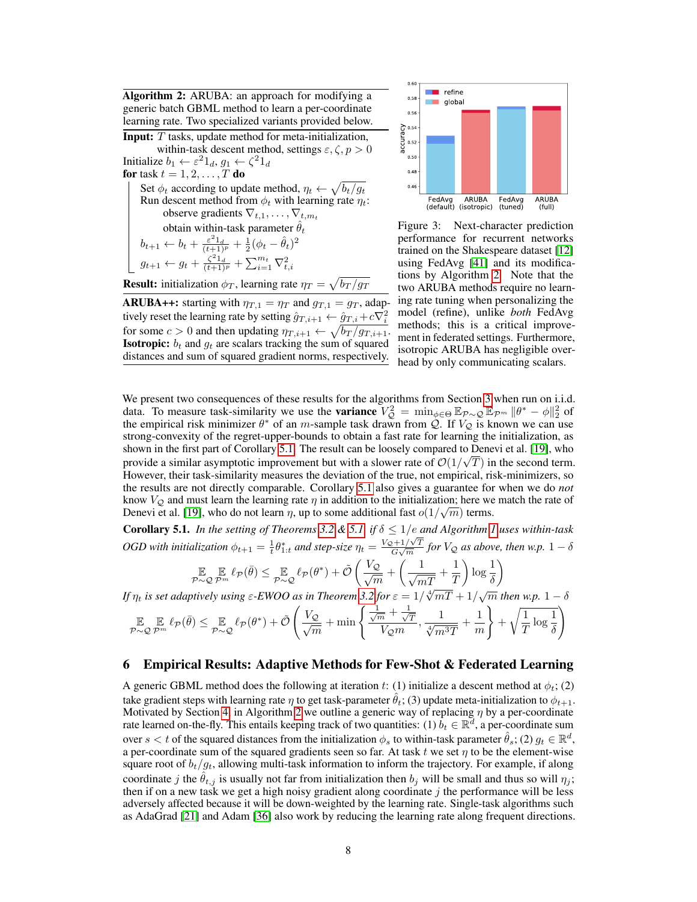Algorithm 2: ARUBA: an approach for modifying a generic batch GBML method to learn a per-coordinate learning rate. Two specialized variants provided below.

Input: T tasks, update method for meta-initialization, within-task descent method, settings  $\varepsilon, \zeta, p > 0$ Initialize  $b_1 \leftarrow \varepsilon^2 1_d$ ,  $g_1 \leftarrow \zeta^2 1_d$ for task  $t=1,2,\ldots,T$  do Set  $\phi_t$  according to update method,  $\eta_t \leftarrow \sqrt{b_t/g_t}$ Run descent method from  $\phi_t$  with learning rate  $\eta_t$ : observe gradients  $\nabla_{t,1}, \ldots, \nabla_{t,m_t}$ obtain within-task parameter  $\hat{\theta}_t$  $b_{t+1} \leftarrow b_t + \frac{\varepsilon^2 1_d}{(t+1)^p} + \frac{1}{2}(\phi_t - \hat{\theta}_t)^2$  $g_{t+1} \leftarrow g_t + \frac{\zeta^2 1_d}{(t+1)^p} + \sum_{i=1}^{m_t} \nabla_{t,i}^2$ 

**Result:** initialization  $\phi_T$ , learning rate  $\eta_T = \sqrt{b_T / g_T}$ 

**ARUBA++:** starting with  $\eta_{T,1} = \eta_T$  and  $g_{T,1} = g_T$ , adaptively reset the learning rate by setting  $\hat{g}_{T,i+1} \leftarrow \hat{g}_{T,i} + c \nabla_i^2$ for some  $c > 0$  and then updating  $\eta_{T,i+1} \leftarrow \sqrt{b_T / g_{T,i+1}}$ . **Isotropic:**  $b_t$  and  $g_t$  are scalars tracking the sum of squared distances and sum of squared gradient norms, respectively.



Figure 3: Next-character prediction performance for recurrent networks trained on the Shakespeare dataset [12] using FedAvg [41] and its modifications by Algorithm 2. Note that the two ARUBA methods require no learning rate tuning when personalizing the model (refine), unlike *both* FedAvg methods; this is a critical improvement in federated settings. Furthermore, isotropic ARUBA has negligible overhead by only communicating scalars.

We present two consequences of these results for the algorithms from Section 3 when run on i.i.d. data. To measure task-similarity we use the **variance**  $V_Q^2 = \min_{\phi \in \Theta} \mathbb{E}_{P \sim Q} \mathbb{E}_{P^m} ||\theta^* - \phi||_2^2$  of the empirical risk minimizer  $\theta^*$  of an m-sample task drawn from  $\mathcal{Q}$ . If  $V_{\mathcal{Q}}$  is known we can use strong-convexity of the regret-upper-bounds to obtain a fast rate for learning the initialization, as shown in the first part of Corollary 5.1. The result can be loosely compared to Denevi et al. [19], who provide a similar asymptotic improvement but with a slower rate of  $\mathcal{O}(1/\sqrt{T})$  in the second term. However, their task-similarity measures the deviation of the true, not empirical, risk-minimizers, so the results are not directly comparable. Corollary 5.1 also gives a guarantee for when we do *not* know  $V_Q$  and must learn the learning rate  $\eta$  in addition to the initialization; here we match the rate of Denevi et al. [19], who do not learn  $\eta$ , up to some additional fast  $o(1/\sqrt{m})$  terms.

Corollary 5.1. *In the setting of Theorems* 3.2 & 5.1, *if*  $\delta \leq 1/e$  *and Algorithm 1 uses within-task* **OGD** with initialization  $\phi_{t+1} = \frac{1}{t} \theta_{1:t}^*$  and step-size  $\eta_t = \frac{V_Q + 1/\sqrt{T}}{G\sqrt{m}}$  $\frac{\partial^2 H / \sqrt{T}}{\partial \sqrt{m}}$  for  $V_Q$  as above, then w.p.  $1 - \delta$ 

$$
\mathop{\mathbb{E}}_{\mathcal{P}\sim\mathcal{Q}}\mathop{\mathbb{E}}_{\mathcal{P}^m}\ell_{\mathcal{P}}(\bar{\theta}) \leq \mathop{\mathbb{E}}_{\mathcal{P}\sim\mathcal{Q}}\ell_{\mathcal{P}}(\theta^*) + \tilde{\mathcal{O}}\left(\frac{V_{\mathcal{Q}}}{\sqrt{m}} + \left(\frac{1}{\sqrt{mT}} + \frac{1}{T}\right)\log\frac{1}{\delta}\right)
$$

*If*  $\eta_t$  *is set adaptively using*  $\varepsilon$ -EWOO as in Theorem 3.2 for  $\varepsilon = 1/\sqrt[4]{mT} + 1/\sqrt{m}$  then w.p.  $1 - \delta$ 

$$
\mathop{\mathbb{E}}_{\mathcal{P} \sim \mathcal{Q}} \mathop{\mathbb{E}}_{\mathcal{P}^m} \ell_{\mathcal{P}}(\bar{\theta}) \leq \mathop{\mathbb{E}}_{\mathcal{P} \sim \mathcal{Q}} \ell_{\mathcal{P}}(\theta^*) + \tilde{\mathcal{O}}\left(\frac{V_{\mathcal{Q}}}{\sqrt{m}} + \min\left\{\frac{\frac{1}{\sqrt{m}} + \frac{1}{\sqrt{T}}}{V_{\mathcal{Q}}m}, \frac{1}{\sqrt[4]{m^3T}} + \frac{1}{m}\right\} + \sqrt{\frac{1}{T}\log\frac{1}{\delta}}\right)
$$

## 6 Empirical Results: Adaptive Methods for Few-Shot & Federated Learning

A generic GBML method does the following at iteration t: (1) initialize a descent method at  $\phi_t$ ; (2) take gradient steps with learning rate  $\eta$  to get task-parameter  $\theta_t$ ; (3) update meta-initialization to  $\phi_{t+1}$ . Motivated by Section 4, in Algorithm 2 we outline a generic way of replacing  $\eta$  by a per-coordinate rate learned on-the-fly. This entails keeping track of two quantities: (1)  $b_t \in \mathbb{R}^d$ , a per-coordinate sum over  $s < t$  of the squared distances from the initialization  $\phi_s$  to within-task parameter  $\hat{\theta}_s$ ; (2)  $g_t \in \mathbb{R}^d$ , a per-coordinate sum of the squared gradients seen so far. At task  $t$  we set  $\eta$  to be the element-wise square root of  $b_t/g_t$ , allowing multi-task information to inform the trajectory. For example, if along coordinate j the  $\hat{\theta}_{t,j}$  is usually not far from initialization then  $b_j$  will be small and thus so will  $\eta_j$ ; then if on a new task we get a high noisy gradient along coordinate  $j$  the performance will be less adversely affected because it will be down-weighted by the learning rate. Single-task algorithms such as AdaGrad [21] and Adam [36] also work by reducing the learning rate along frequent directions.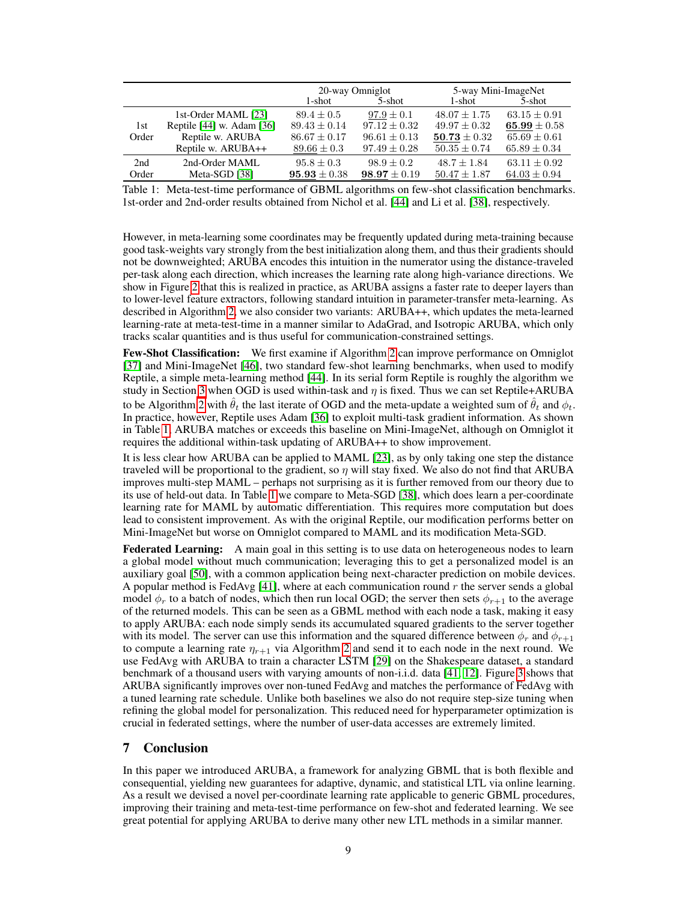|              |                           | 20-way Omniglot  |                  | 5-way Mini-ImageNet |                  |
|--------------|---------------------------|------------------|------------------|---------------------|------------------|
|              |                           | 1-shot           | 5-shot           | 1-shot              | 5-shot           |
| 1st<br>Order | 1st-Order MAML [23]       | $89.4 \pm 0.5$   | $97.9 \pm 0.1$   | $48.07 + 1.75$      | $63.15 \pm 0.91$ |
|              | Reptile [44] w. Adam [36] | $89.43 + 0.14$   | $97.12 + 0.32$   | $49.97 + 0.32$      | 65.99 $\pm$ 0.58 |
|              | Reptile w. ARUBA          | $86.67 \pm 0.17$ | $96.61 \pm 0.13$ | $50.73 \pm 0.32$    | $65.69 \pm 0.61$ |
|              | Reptile w. ARUBA++        | $89.66 \pm 0.3$  | $97.49 \pm 0.28$ | $50.35 \pm 0.74$    | $65.89 \pm 0.34$ |
| 2nd          | 2nd-Order MAML            | $95.8 \pm 0.3$   | $98.9 + 0.2$     | $48.7 + 1.84$       | $63.11 \pm 0.92$ |
| Order        | Meta-SGD [38]             | $95.93 \pm 0.38$ | $98.97 \pm 0.19$ | $50.47 \pm 1.87$    | $64.03 \pm 0.94$ |

Table 1: Meta-test-time performance of GBML algorithms on few-shot classification benchmarks. 1st-order and 2nd-order results obtained from Nichol et al. [44] and Li et al. [38], respectively.

However, in meta-learning some coordinates may be frequently updated during meta-training because good task-weights vary strongly from the best initialization along them, and thus their gradients should not be downweighted; ARUBA encodes this intuition in the numerator using the distance-traveled per-task along each direction, which increases the learning rate along high-variance directions. We show in Figure 2 that this is realized in practice, as ARUBA assigns a faster rate to deeper layers than to lower-level feature extractors, following standard intuition in parameter-transfer meta-learning. As described in Algorithm 2, we also consider two variants: ARUBA++, which updates the meta-learned learning-rate at meta-test-time in a manner similar to AdaGrad, and Isotropic ARUBA, which only tracks scalar quantities and is thus useful for communication-constrained settings.

Few-Shot Classification: We first examine if Algorithm 2 can improve performance on Omniglot [37] and Mini-ImageNet [46], two standard few-shot learning benchmarks, when used to modify Reptile, a simple meta-learning method [44]. In its serial form Reptile is roughly the algorithm we study in Section 3 when OGD is used within-task and  $\eta$  is fixed. Thus we can set Reptile+ARUBA to be Algorithm 2 with  $\hat{\theta}_t$  the last iterate of OGD and the meta-update a weighted sum of  $\hat{\theta}_t$  and  $\phi_t$ . In practice, however, Reptile uses Adam [36] to exploit multi-task gradient information. As shown in Table 1, ARUBA matches or exceeds this baseline on Mini-ImageNet, although on Omniglot it requires the additional within-task updating of ARUBA++ to show improvement.

It is less clear how ARUBA can be applied to MAML [23], as by only taking one step the distance traveled will be proportional to the gradient, so  $\eta$  will stay fixed. We also do not find that ARUBA improves multi-step MAML – perhaps not surprising as it is further removed from our theory due to its use of held-out data. In Table 1 we compare to Meta-SGD [38], which does learn a per-coordinate learning rate for MAML by automatic differentiation. This requires more computation but does lead to consistent improvement. As with the original Reptile, our modification performs better on Mini-ImageNet but worse on Omniglot compared to MAML and its modification Meta-SGD.

Federated Learning: A main goal in this setting is to use data on heterogeneous nodes to learn a global model without much communication; leveraging this to get a personalized model is an auxiliary goal [50], with a common application being next-character prediction on mobile devices. A popular method is FedAvg  $[41]$ , where at each communication round r the server sends a global model  $\phi_r$  to a batch of nodes, which then run local OGD; the server then sets  $\phi_{r+1}$  to the average of the returned models. This can be seen as a GBML method with each node a task, making it easy to apply ARUBA: each node simply sends its accumulated squared gradients to the server together with its model. The server can use this information and the squared difference between  $\phi_r$  and  $\phi_{r+1}$ to compute a learning rate  $\eta_{r+1}$  via Algorithm 2 and send it to each node in the next round. We use FedAvg with ARUBA to train a character LSTM [29] on the Shakespeare dataset, a standard benchmark of a thousand users with varying amounts of non-i.i.d. data [41, 12]. Figure 3 shows that ARUBA significantly improves over non-tuned FedAvg and matches the performance of FedAvg with a tuned learning rate schedule. Unlike both baselines we also do not require step-size tuning when refining the global model for personalization. This reduced need for hyperparameter optimization is crucial in federated settings, where the number of user-data accesses are extremely limited.

# 7 Conclusion

In this paper we introduced ARUBA, a framework for analyzing GBML that is both flexible and consequential, yielding new guarantees for adaptive, dynamic, and statistical LTL via online learning. As a result we devised a novel per-coordinate learning rate applicable to generic GBML procedures, improving their training and meta-test-time performance on few-shot and federated learning. We see great potential for applying ARUBA to derive many other new LTL methods in a similar manner.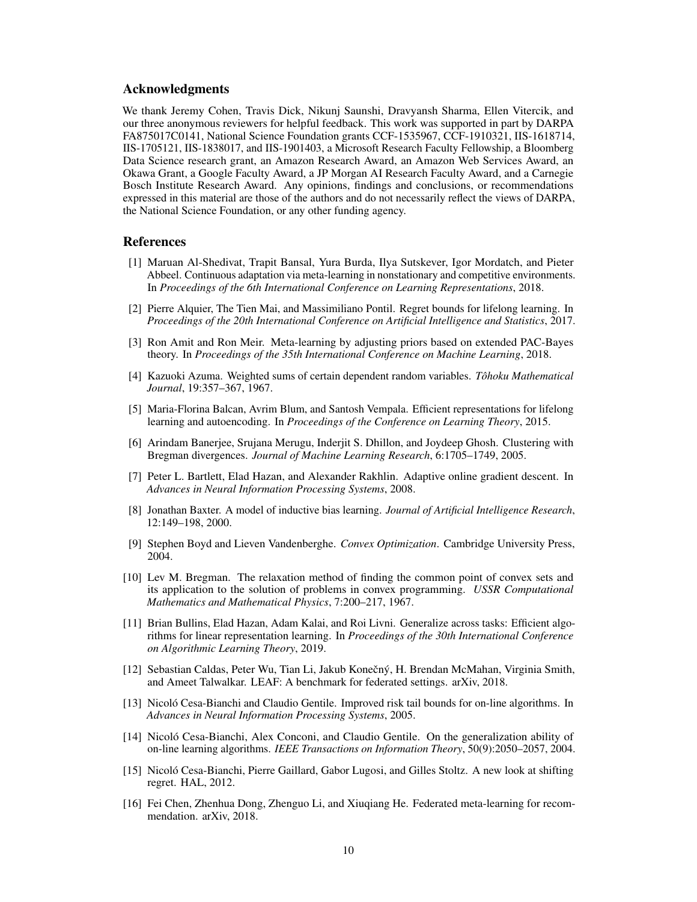## Acknowledgments

We thank Jeremy Cohen, Travis Dick, Nikunj Saunshi, Dravyansh Sharma, Ellen Vitercik, and our three anonymous reviewers for helpful feedback. This work was supported in part by DARPA FA875017C0141, National Science Foundation grants CCF-1535967, CCF-1910321, IIS-1618714, IIS-1705121, IIS-1838017, and IIS-1901403, a Microsoft Research Faculty Fellowship, a Bloomberg Data Science research grant, an Amazon Research Award, an Amazon Web Services Award, an Okawa Grant, a Google Faculty Award, a JP Morgan AI Research Faculty Award, and a Carnegie Bosch Institute Research Award. Any opinions, findings and conclusions, or recommendations expressed in this material are those of the authors and do not necessarily reflect the views of DARPA, the National Science Foundation, or any other funding agency.

## References

- [1] Maruan Al-Shedivat, Trapit Bansal, Yura Burda, Ilya Sutskever, Igor Mordatch, and Pieter Abbeel. Continuous adaptation via meta-learning in nonstationary and competitive environments. In *Proceedings of the 6th International Conference on Learning Representations*, 2018.
- [2] Pierre Alquier, The Tien Mai, and Massimiliano Pontil. Regret bounds for lifelong learning. In *Proceedings of the 20th International Conference on Artificial Intelligence and Statistics*, 2017.
- [3] Ron Amit and Ron Meir. Meta-learning by adjusting priors based on extended PAC-Bayes theory. In *Proceedings of the 35th International Conference on Machine Learning*, 2018.
- [4] Kazuoki Azuma. Weighted sums of certain dependent random variables. *Tôhoku Mathematical Journal*, 19:357–367, 1967.
- [5] Maria-Florina Balcan, Avrim Blum, and Santosh Vempala. Efficient representations for lifelong learning and autoencoding. In *Proceedings of the Conference on Learning Theory*, 2015.
- [6] Arindam Banerjee, Srujana Merugu, Inderjit S. Dhillon, and Joydeep Ghosh. Clustering with Bregman divergences. *Journal of Machine Learning Research*, 6:1705–1749, 2005.
- [7] Peter L. Bartlett, Elad Hazan, and Alexander Rakhlin. Adaptive online gradient descent. In *Advances in Neural Information Processing Systems*, 2008.
- [8] Jonathan Baxter. A model of inductive bias learning. *Journal of Artificial Intelligence Research*, 12:149–198, 2000.
- [9] Stephen Boyd and Lieven Vandenberghe. *Convex Optimization*. Cambridge University Press, 2004.
- [10] Lev M. Bregman. The relaxation method of finding the common point of convex sets and its application to the solution of problems in convex programming. *USSR Computational Mathematics and Mathematical Physics*, 7:200–217, 1967.
- [11] Brian Bullins, Elad Hazan, Adam Kalai, and Roi Livni. Generalize across tasks: Efficient algorithms for linear representation learning. In *Proceedings of the 30th International Conference on Algorithmic Learning Theory*, 2019.
- [12] Sebastian Caldas, Peter Wu, Tian Li, Jakub Konečný, H. Brendan McMahan, Virginia Smith, and Ameet Talwalkar. LEAF: A benchmark for federated settings. arXiv, 2018.
- [13] Nicoló Cesa-Bianchi and Claudio Gentile. Improved risk tail bounds for on-line algorithms. In *Advances in Neural Information Processing Systems*, 2005.
- [14] Nicoló Cesa-Bianchi, Alex Conconi, and Claudio Gentile. On the generalization ability of on-line learning algorithms. *IEEE Transactions on Information Theory*, 50(9):2050–2057, 2004.
- [15] Nicoló Cesa-Bianchi, Pierre Gaillard, Gabor Lugosi, and Gilles Stoltz. A new look at shifting regret. HAL, 2012.
- [16] Fei Chen, Zhenhua Dong, Zhenguo Li, and Xiuqiang He. Federated meta-learning for recommendation. arXiv, 2018.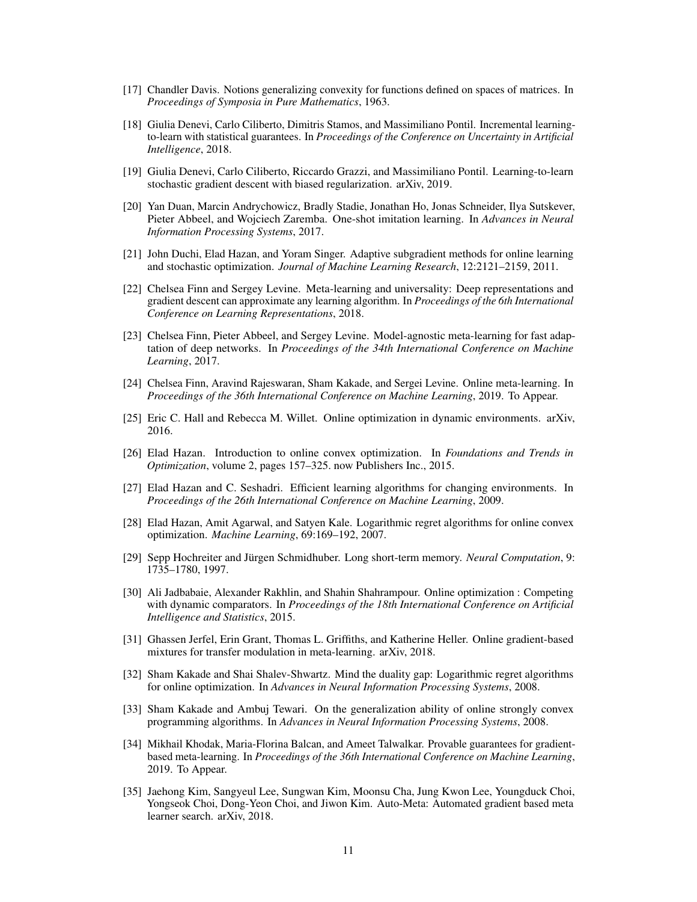- [17] Chandler Davis. Notions generalizing convexity for functions defined on spaces of matrices. In *Proceedings of Symposia in Pure Mathematics*, 1963.
- [18] Giulia Denevi, Carlo Ciliberto, Dimitris Stamos, and Massimiliano Pontil. Incremental learningto-learn with statistical guarantees. In *Proceedings of the Conference on Uncertainty in Artificial Intelligence*, 2018.
- [19] Giulia Denevi, Carlo Ciliberto, Riccardo Grazzi, and Massimiliano Pontil. Learning-to-learn stochastic gradient descent with biased regularization. arXiv, 2019.
- [20] Yan Duan, Marcin Andrychowicz, Bradly Stadie, Jonathan Ho, Jonas Schneider, Ilya Sutskever, Pieter Abbeel, and Wojciech Zaremba. One-shot imitation learning. In *Advances in Neural Information Processing Systems*, 2017.
- [21] John Duchi, Elad Hazan, and Yoram Singer. Adaptive subgradient methods for online learning and stochastic optimization. *Journal of Machine Learning Research*, 12:2121–2159, 2011.
- [22] Chelsea Finn and Sergey Levine. Meta-learning and universality: Deep representations and gradient descent can approximate any learning algorithm. In *Proceedings of the 6th International Conference on Learning Representations*, 2018.
- [23] Chelsea Finn, Pieter Abbeel, and Sergey Levine. Model-agnostic meta-learning for fast adaptation of deep networks. In *Proceedings of the 34th International Conference on Machine Learning*, 2017.
- [24] Chelsea Finn, Aravind Rajeswaran, Sham Kakade, and Sergei Levine. Online meta-learning. In *Proceedings of the 36th International Conference on Machine Learning*, 2019. To Appear.
- [25] Eric C. Hall and Rebecca M. Willet. Online optimization in dynamic environments. arXiv, 2016.
- [26] Elad Hazan. Introduction to online convex optimization. In *Foundations and Trends in Optimization*, volume 2, pages 157–325. now Publishers Inc., 2015.
- [27] Elad Hazan and C. Seshadri. Efficient learning algorithms for changing environments. In *Proceedings of the 26th International Conference on Machine Learning*, 2009.
- [28] Elad Hazan, Amit Agarwal, and Satyen Kale. Logarithmic regret algorithms for online convex optimization. *Machine Learning*, 69:169–192, 2007.
- [29] Sepp Hochreiter and Jürgen Schmidhuber. Long short-term memory. *Neural Computation*, 9: 1735–1780, 1997.
- [30] Ali Jadbabaie, Alexander Rakhlin, and Shahin Shahrampour. Online optimization : Competing with dynamic comparators. In *Proceedings of the 18th International Conference on Artificial Intelligence and Statistics*, 2015.
- [31] Ghassen Jerfel, Erin Grant, Thomas L. Griffiths, and Katherine Heller. Online gradient-based mixtures for transfer modulation in meta-learning. arXiv, 2018.
- [32] Sham Kakade and Shai Shalev-Shwartz. Mind the duality gap: Logarithmic regret algorithms for online optimization. In *Advances in Neural Information Processing Systems*, 2008.
- [33] Sham Kakade and Ambuj Tewari. On the generalization ability of online strongly convex programming algorithms. In *Advances in Neural Information Processing Systems*, 2008.
- [34] Mikhail Khodak, Maria-Florina Balcan, and Ameet Talwalkar. Provable guarantees for gradientbased meta-learning. In *Proceedings of the 36th International Conference on Machine Learning*, 2019. To Appear.
- [35] Jaehong Kim, Sangyeul Lee, Sungwan Kim, Moonsu Cha, Jung Kwon Lee, Youngduck Choi, Yongseok Choi, Dong-Yeon Choi, and Jiwon Kim. Auto-Meta: Automated gradient based meta learner search. arXiv, 2018.